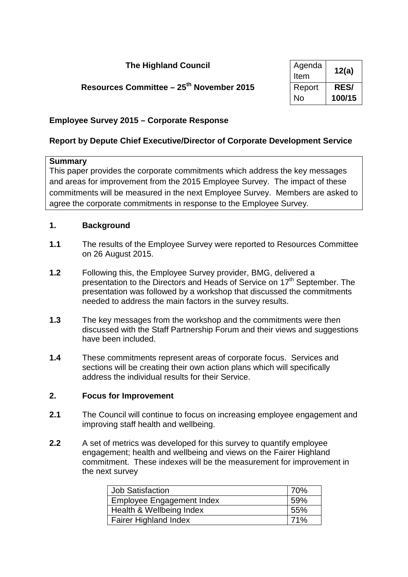## **The Highland Council**

# **Resources Committee – 25<sup>th</sup> November 2015**

| Agenda<br>Item | 12(a)       |
|----------------|-------------|
| Report         | <b>RES/</b> |
| No             | 100/15      |

#### **Employee Survey 2015 – Corporate Response**

#### **Report by Depute Chief Executive/Director of Corporate Development Service**

#### **Summary**

This paper provides the corporate commitments which address the key messages and areas for improvement from the 2015 Employee Survey. The impact of these commitments will be measured in the next Employee Survey. Members are asked to agree the corporate commitments in response to the Employee Survey.

#### **1. Background**

- **1.1** The results of the Employee Survey were reported to Resources Committee on 26 August 2015.
- **1.2** Following this, the Employee Survey provider, BMG, delivered a presentation to the Directors and Heads of Service on 17<sup>th</sup> September. The presentation was followed by a workshop that discussed the commitments needed to address the main factors in the survey results.
- **1.3** The key messages from the workshop and the commitments were then discussed with the Staff Partnership Forum and their views and suggestions have been included.
- **1.4** These commitments represent areas of corporate focus. Services and sections will be creating their own action plans which will specifically address the individual results for their Service.

#### **2. Focus for Improvement**

- **2.1** The Council will continue to focus on increasing employee engagement and improving staff health and wellbeing.
- **2.2** A set of metrics was developed for this survey to quantify employee engagement; health and wellbeing and views on the Fairer Highland commitment. These indexes will be the measurement for improvement in the next survey

| <b>Job Satisfaction</b>      | 70%  |
|------------------------------|------|
| Employee Engagement Index    | .59% |
| Health & Wellbeing Index     | 55%  |
| <b>Fairer Highland Index</b> | 71%  |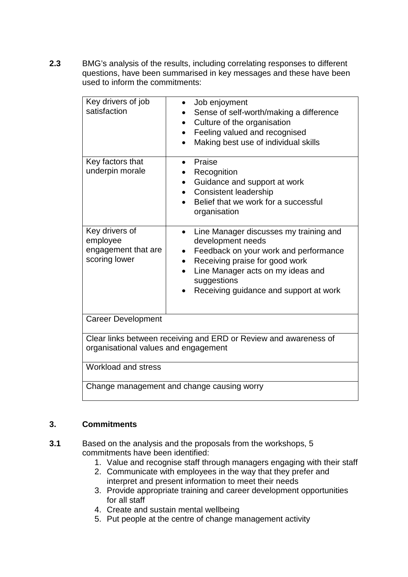**2.3** BMG's analysis of the results, including correlating responses to different questions, have been summarised in key messages and these have been used to inform the commitments:

| Key drivers of job<br>satisfaction                                                                       | Job enjoyment<br>$\bullet$<br>Sense of self-worth/making a difference<br>Culture of the organisation<br>$\bullet$<br>Feeling valued and recognised<br>Making best use of individual skills                                                                     |  |  |  |
|----------------------------------------------------------------------------------------------------------|----------------------------------------------------------------------------------------------------------------------------------------------------------------------------------------------------------------------------------------------------------------|--|--|--|
| Key factors that<br>underpin morale                                                                      | Praise<br>$\bullet$<br>Recognition<br>Guidance and support at work<br>$\bullet$<br><b>Consistent leadership</b><br>Belief that we work for a successful<br>organisation                                                                                        |  |  |  |
| Key drivers of<br>employee<br>engagement that are<br>scoring lower                                       | Line Manager discusses my training and<br>$\bullet$<br>development needs<br>Feedback on your work and performance<br>$\bullet$<br>Receiving praise for good work<br>Line Manager acts on my ideas and<br>suggestions<br>Receiving guidance and support at work |  |  |  |
| <b>Career Development</b>                                                                                |                                                                                                                                                                                                                                                                |  |  |  |
| Clear links between receiving and ERD or Review and awareness of<br>organisational values and engagement |                                                                                                                                                                                                                                                                |  |  |  |
| Workload and stress                                                                                      |                                                                                                                                                                                                                                                                |  |  |  |
| Change management and change causing worry                                                               |                                                                                                                                                                                                                                                                |  |  |  |

## **3. Commitments**

- **3.1** Based on the analysis and the proposals from the workshops, 5 commitments have been identified:
	- 1. Value and recognise staff through managers engaging with their staff
	- 2. Communicate with employees in the way that they prefer and interpret and present information to meet their needs
	- 3. Provide appropriate training and career development opportunities for all staff
	- 4. Create and sustain mental wellbeing
	- 5. Put people at the centre of change management activity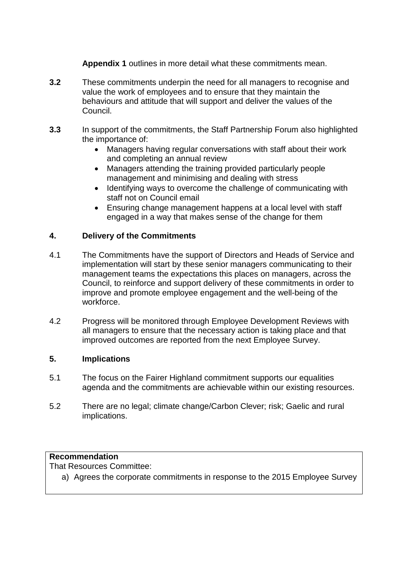**Appendix 1** outlines in more detail what these commitments mean.

- **3.2** These commitments underpin the need for all managers to recognise and value the work of employees and to ensure that they maintain the behaviours and attitude that will support and deliver the values of the Council.
- **3.3** In support of the commitments, the Staff Partnership Forum also highlighted the importance of:
	- Managers having regular conversations with staff about their work and completing an annual review
	- Managers attending the training provided particularly people management and minimising and dealing with stress
	- Identifying ways to overcome the challenge of communicating with staff not on Council email
	- Ensuring change management happens at a local level with staff engaged in a way that makes sense of the change for them

#### **4. Delivery of the Commitments**

- 4.1 The Commitments have the support of Directors and Heads of Service and implementation will start by these senior managers communicating to their management teams the expectations this places on managers, across the Council, to reinforce and support delivery of these commitments in order to improve and promote employee engagement and the well-being of the workforce.
- 4.2 Progress will be monitored through Employee Development Reviews with all managers to ensure that the necessary action is taking place and that improved outcomes are reported from the next Employee Survey.

#### **5. Implications**

- 5.1 The focus on the Fairer Highland commitment supports our equalities agenda and the commitments are achievable within our existing resources.
- 5.2 There are no legal; climate change/Carbon Clever; risk; Gaelic and rural implications.

## **Recommendation**

That Resources Committee:

a) Agrees the corporate commitments in response to the 2015 Employee Survey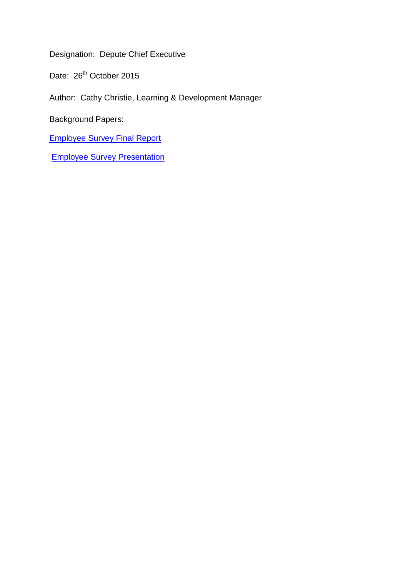Designation: Depute Chief Executive

Date: 26<sup>th</sup> October 2015

Author: Cathy Christie, Learning & Development Manager

Background Papers:

[Employee Survey Final Report](http://www.highland.gov.uk/staffsite/downloads/file/711/employee_survey_final_report) 

[Employee Survey Presentation](http://www.highland.gov.uk/staffsite/downloads/file/2440/employee_survey_2015_presentation)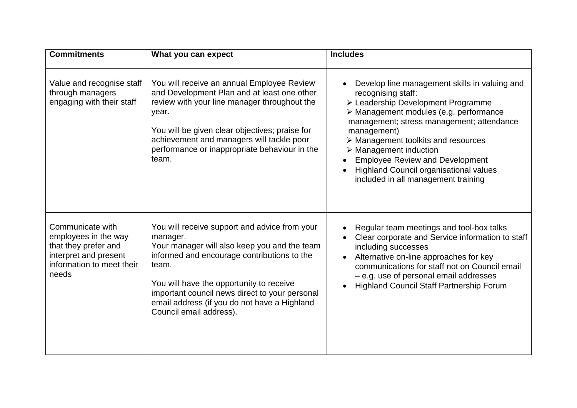| <b>Commitments</b>                                                                                                              | What you can expect                                                                                                                                                                                                                                                                                                                        | <b>Includes</b>                                                                                                                                                                                                                                                                                                                                                                                                                           |
|---------------------------------------------------------------------------------------------------------------------------------|--------------------------------------------------------------------------------------------------------------------------------------------------------------------------------------------------------------------------------------------------------------------------------------------------------------------------------------------|-------------------------------------------------------------------------------------------------------------------------------------------------------------------------------------------------------------------------------------------------------------------------------------------------------------------------------------------------------------------------------------------------------------------------------------------|
| Value and recognise staff<br>through managers<br>engaging with their staff                                                      | You will receive an annual Employee Review<br>and Development Plan and at least one other<br>review with your line manager throughout the<br>year.<br>You will be given clear objectives; praise for<br>achievement and managers will tackle poor<br>performance or inappropriate behaviour in the<br>team.                                | Develop line management skills in valuing and<br>recognising staff:<br>> Leadership Development Programme<br>> Management modules (e.g. performance<br>management; stress management; attendance<br>management)<br>$\triangleright$ Management toolkits and resources<br>$\triangleright$ Management induction<br><b>Employee Review and Development</b><br>Highland Council organisational values<br>included in all management training |
| Communicate with<br>employees in the way<br>that they prefer and<br>interpret and present<br>information to meet their<br>needs | You will receive support and advice from your<br>manager.<br>Your manager will also keep you and the team<br>informed and encourage contributions to the<br>team.<br>You will have the opportunity to receive<br>important council news direct to your personal<br>email address (if you do not have a Highland<br>Council email address). | Regular team meetings and tool-box talks<br>Clear corporate and Service information to staff<br>including successes<br>Alternative on-line approaches for key<br>communications for staff not on Council email<br>- e.g. use of personal email addresses<br>Highland Council Staff Partnership Forum                                                                                                                                      |